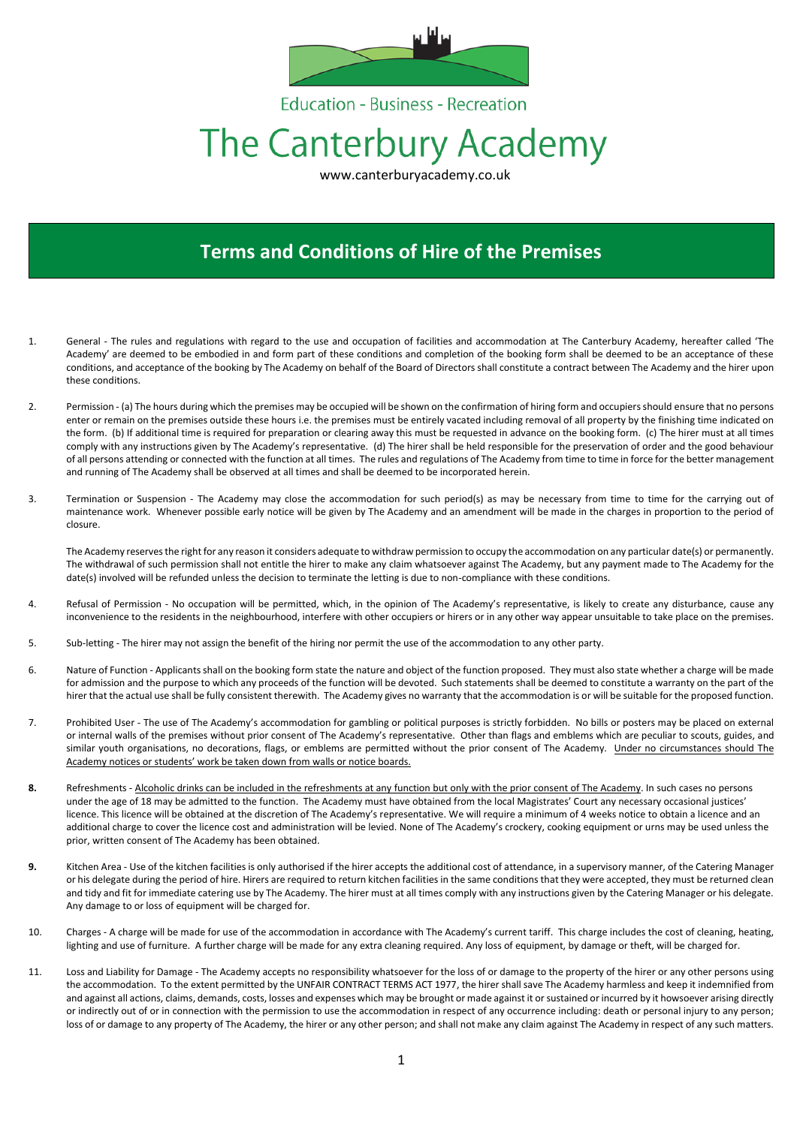

**Education - Business - Recreation** 

# The Canterbury Academy

www.canterburyacademy.co.uk

# **Terms and Conditions of Hire of the Premises**

- 1. General The rules and regulations with regard to the use and occupation of facilities and accommodation at The Canterbury Academy, hereafter called 'The Academy' are deemed to be embodied in and form part of these conditions and completion of the booking form shall be deemed to be an acceptance of these conditions, and acceptance of the booking by The Academy on behalf of the Board of Directors shall constitute a contract between The Academy and the hirer upon these conditions.
- 2. Permission (a) The hours during which the premises may be occupied will be shown on the confirmation of hiring form and occupiers should ensure that no persons enter or remain on the premises outside these hours i.e. the premises must be entirely vacated including removal of all property by the finishing time indicated on the form. (b) If additional time is required for preparation or clearing away this must be requested in advance on the booking form. (c) The hirer must at all times comply with any instructions given by The Academy's representative. (d) The hirer shall be held responsible for the preservation of order and the good behaviour of all persons attending or connected with the function at all times. The rules and regulations of The Academy from time to time in force for the better management and running of The Academy shall be observed at all times and shall be deemed to be incorporated herein.
- 3. Termination or Suspension The Academy may close the accommodation for such period(s) as may be necessary from time to time for the carrying out of maintenance work. Whenever possible early notice will be given by The Academy and an amendment will be made in the charges in proportion to the period of closure.

The Academy reserves the right for any reason it considers adequate to withdraw permission to occupy the accommodation on any particular date(s) or permanently. The withdrawal of such permission shall not entitle the hirer to make any claim whatsoever against The Academy, but any payment made to The Academy for the date(s) involved will be refunded unless the decision to terminate the letting is due to non-compliance with these conditions.

- 4. Refusal of Permission No occupation will be permitted, which, in the opinion of The Academy's representative, is likely to create any disturbance, cause any inconvenience to the residents in the neighbourhood, interfere with other occupiers or hirers or in any other way appear unsuitable to take place on the premises.
- 5. Sub-letting The hirer may not assign the benefit of the hiring nor permit the use of the accommodation to any other party.
- 6. Nature of Function Applicants shall on the booking form state the nature and object of the function proposed. They must also state whether a charge will be made for admission and the purpose to which any proceeds of the function will be devoted. Such statements shall be deemed to constitute a warranty on the part of the hirer that the actual use shall be fully consistent therewith. The Academy gives no warranty that the accommodation is or will be suitable for the proposed function.
- 7. Prohibited User The use of The Academy's accommodation for gambling or political purposes is strictly forbidden. No bills or posters may be placed on external or internal walls of the premises without prior consent of The Academy's representative. Other than flags and emblems which are peculiar to scouts, guides, and similar youth organisations, no decorations, flags, or emblems are permitted without the prior consent of The Academy. Under no circumstances should The Academy notices or students' work be taken down from walls or notice boards.
- **8.** Refreshments Alcoholic drinks can be included in the refreshments at any function but only with the prior consent of The Academy. In such cases no persons under the age of 18 may be admitted to the function. The Academy must have obtained from the local Magistrates' Court any necessary occasional justices' licence. This licence will be obtained at the discretion of The Academy's representative. We will require a minimum of 4 weeks notice to obtain a licence and an additional charge to cover the licence cost and administration will be levied. None of The Academy's crockery, cooking equipment or urns may be used unless the prior, written consent of The Academy has been obtained.
- **9.** Kitchen Area Use of the kitchen facilities is only authorised if the hirer accepts the additional cost of attendance, in a supervisory manner, of the Catering Manager or his delegate during the period of hire. Hirers are required to return kitchen facilities in the same conditions that they were accepted, they must be returned clean and tidy and fit for immediate catering use by The Academy. The hirer must at all times comply with any instructions given by the Catering Manager or his delegate. Any damage to or loss of equipment will be charged for.
- 10. Charges A charge will be made for use of the accommodation in accordance with The Academy's current tariff. This charge includes the cost of cleaning, heating, lighting and use of furniture. A further charge will be made for any extra cleaning required. Any loss of equipment, by damage or theft, will be charged for.
- 11. Loss and Liability for Damage The Academy accepts no responsibility whatsoever for the loss of or damage to the property of the hirer or any other persons using the accommodation. To the extent permitted by the UNFAIR CONTRACT TERMS ACT 1977, the hirer shall save The Academy harmless and keep it indemnified from and against all actions, claims, demands, costs, losses and expenses which may be brought or made against it or sustained or incurred by it howsoever arising directly or indirectly out of or in connection with the permission to use the accommodation in respect of any occurrence including: death or personal injury to any person; loss of or damage to any property of The Academy, the hirer or any other person; and shall not make any claim against The Academy in respect of any such matters.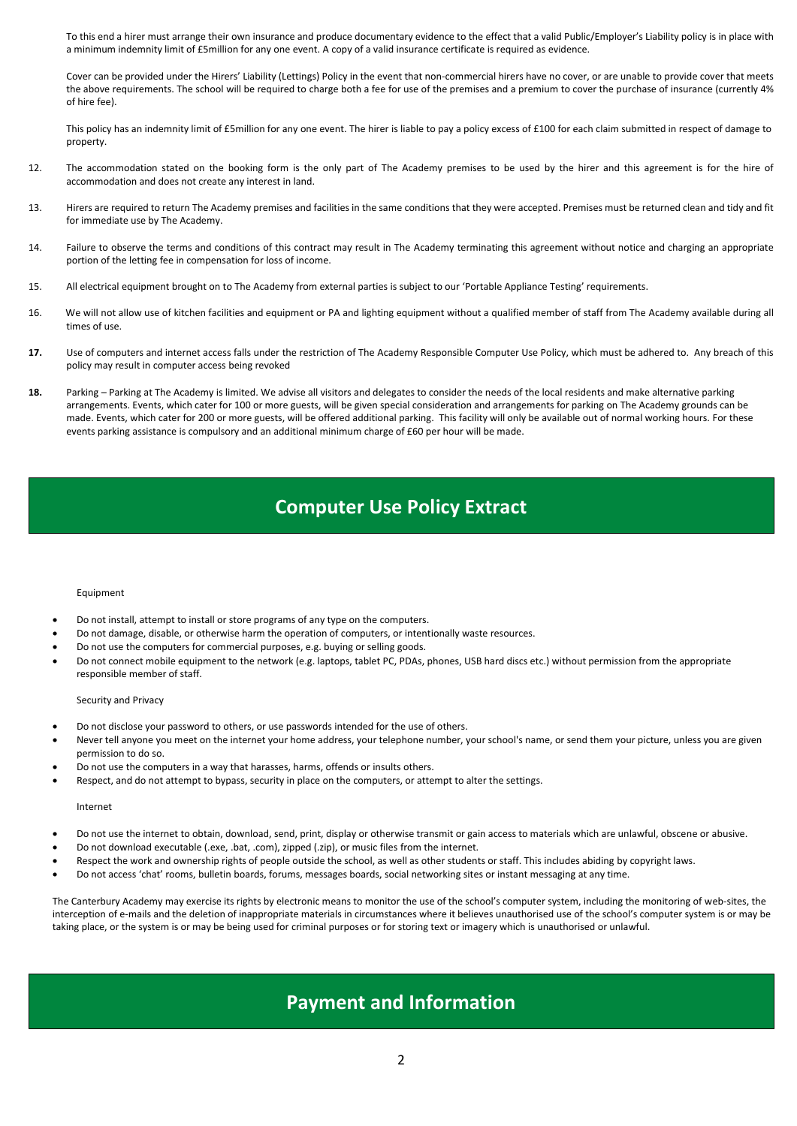To this end a hirer must arrange their own insurance and produce documentary evidence to the effect that a valid Public/Employer's Liability policy is in place with a minimum indemnity limit of £5million for any one event. A copy of a valid insurance certificate is required as evidence.

Cover can be provided under the Hirers' Liability (Lettings) Policy in the event that non-commercial hirers have no cover, or are unable to provide cover that meets the above requirements. The school will be required to charge both a fee for use of the premises and a premium to cover the purchase of insurance (currently 4% of hire fee).

This policy has an indemnity limit of £5million for any one event. The hirer is liable to pay a policy excess of £100 for each claim submitted in respect of damage to property.

- 12. The accommodation stated on the booking form is the only part of The Academy premises to be used by the hirer and this agreement is for the hire of accommodation and does not create any interest in land.
- 13. Hirers are required to return The Academy premises and facilities in the same conditions that they were accepted. Premises must be returned clean and tidy and fit for immediate use by The Academy.
- 14. Failure to observe the terms and conditions of this contract may result in The Academy terminating this agreement without notice and charging an appropriate portion of the letting fee in compensation for loss of income.
- 15. All electrical equipment brought on to The Academy from external parties is subject to our 'Portable Appliance Testing' requirements.
- 16. We will not allow use of kitchen facilities and equipment or PA and lighting equipment without a qualified member of staff from The Academy available during all times of use.
- **17.** Use of computers and internet access falls under the restriction of The Academy Responsible Computer Use Policy, which must be adhered to. Any breach of this policy may result in computer access being revoked
- **18.** Parking Parking at The Academy is limited. We advise all visitors and delegates to consider the needs of the local residents and make alternative parking arrangements. Events, which cater for 100 or more guests, will be given special consideration and arrangements for parking on The Academy grounds can be made. Events, which cater for 200 or more guests, will be offered additional parking. This facility will only be available out of normal working hours. For these events parking assistance is compulsory and an additional minimum charge of £60 per hour will be made.

## **Computer Use Policy Extract**

#### Equipment

- Do not install, attempt to install or store programs of any type on the computers.
- Do not damage, disable, or otherwise harm the operation of computers, or intentionally waste resources.
- Do not use the computers for commercial purposes, e.g. buying or selling goods.
- Do not connect mobile equipment to the network (e.g. laptops, tablet PC, PDAs, phones, USB hard discs etc.) without permission from the appropriate responsible member of staff.

#### Security and Privacy

- Do not disclose your password to others, or use passwords intended for the use of others.
- Never tell anyone you meet on the internet your home address, your telephone number, your school's name, or send them your picture, unless you are given permission to do so.
- Do not use the computers in a way that harasses, harms, offends or insults others.
- Respect, and do not attempt to bypass, security in place on the computers, or attempt to alter the settings.

#### Internet

- Do not use the internet to obtain, download, send, print, display or otherwise transmit or gain access to materials which are unlawful, obscene or abusive.
- Do not download executable (.exe, .bat, .com), zipped (.zip), or music files from the internet.
- Respect the work and ownership rights of people outside the school, as well as other students or staff. This includes abiding by copyright laws.
- Do not access 'chat' rooms, bulletin boards, forums, messages boards, social networking sites or instant messaging at any time.

The Canterbury Academy may exercise its rights by electronic means to monitor the use of the school's computer system, including the monitoring of web-sites, the interception of e-mails and the deletion of inappropriate materials in circumstances where it believes unauthorised use of the school's computer system is or may be taking place, or the system is or may be being used for criminal purposes or for storing text or imagery which is unauthorised or unlawful.

### **Payment and Information**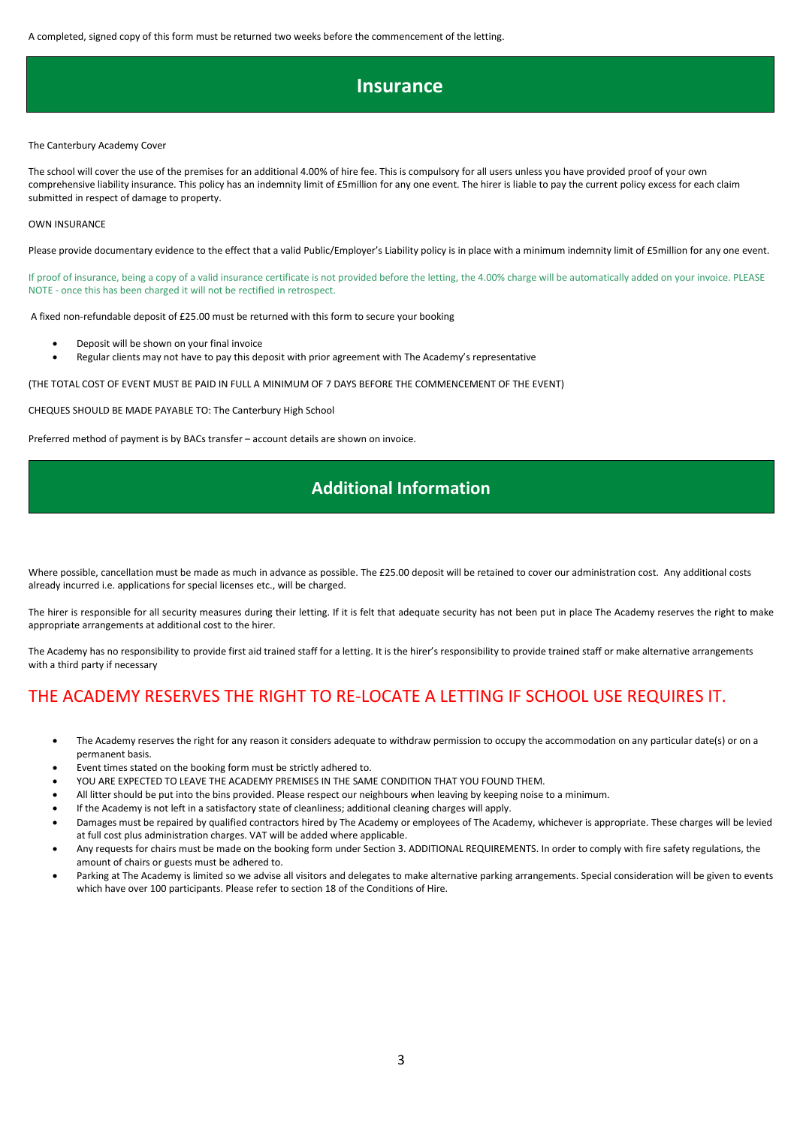A completed, signed copy of this form must be returned two weeks before the commencement of the letting.

### **Insurance**

#### The Canterbury Academy Cover

The school will cover the use of the premises for an additional 4.00% of hire fee. This is compulsory for all users unless you have provided proof of your own comprehensive liability insurance. This policy has an indemnity limit of £5million for any one event. The hirer is liable to pay the current policy excess for each claim submitted in respect of damage to property.

#### OWN INSURANCE

Please provide documentary evidence to the effect that a valid Public/Employer's Liability policy is in place with a minimum indemnity limit of £5million for any one event.

If proof of insurance, being a copy of a valid insurance certificate is not provided before the letting, the 4.00% charge will be automatically added on your invoice. PLEASE NOTE - once this has been charged it will not be rectified in retrospect.

A fixed non-refundable deposit of £25.00 must be returned with this form to secure your booking

- Deposit will be shown on your final invoice
- Regular clients may not have to pay this deposit with prior agreement with The Academy's representative

(THE TOTAL COST OF EVENT MUST BE PAID IN FULL A MINIMUM OF 7 DAYS BEFORE THE COMMENCEMENT OF THE EVENT)

CHEQUES SHOULD BE MADE PAYABLE TO: The Canterbury High School

Preferred method of payment is by BACs transfer – account details are shown on invoice.

### **Additional Information**

Where possible, cancellation must be made as much in advance as possible. The £25.00 deposit will be retained to cover our administration cost. Any additional costs already incurred i.e. applications for special licenses etc., will be charged.

The hirer is responsible for all security measures during their letting. If it is felt that adequate security has not been put in place The Academy reserves the right to make appropriate arrangements at additional cost to the hirer.

The Academy has no responsibility to provide first aid trained staff for a letting. It is the hirer's responsibility to provide trained staff or make alternative arrangements with a third party if necessary

### THE ACADEMY RESERVES THE RIGHT TO RE-LOCATE A LETTING IF SCHOOL USE REQUIRES IT.

- The Academy reserves the right for any reason it considers adequate to withdraw permission to occupy the accommodation on any particular date(s) or on a permanent basis.
- Event times stated on the booking form must be strictly adhered to.
- YOU ARE EXPECTED TO LEAVE THE ACADEMY PREMISES IN THE SAME CONDITION THAT YOU FOUND THEM.
- All litter should be put into the bins provided. Please respect our neighbours when leaving by keeping noise to a minimum.
- If the Academy is not left in a satisfactory state of cleanliness; additional cleaning charges will apply.
- Damages must be repaired by qualified contractors hired by The Academy or employees of The Academy, whichever is appropriate. These charges will be levied at full cost plus administration charges. VAT will be added where applicable.
- Any requests for chairs must be made on the booking form under Section 3. ADDITIONAL REQUIREMENTS. In order to comply with fire safety regulations, the amount of chairs or guests must be adhered to.
- Parking at The Academy is limited so we advise all visitors and delegates to make alternative parking arrangements. Special consideration will be given to events which have over 100 participants. Please refer to section 18 of the Conditions of Hire.